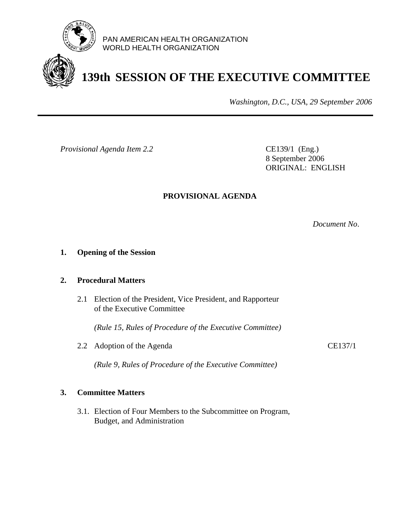

PAN AMERICAN HEALTH ORGANIZATION WORLD HEALTH ORGANIZATION

# **139th SESSION OF THE EXECUTIVE COMMITTEE**

*Washington, D.C., USA, 29 September 2006*

*Provisional Agenda Item 2.2* CE139/1 (Eng.)

 8 September 2006 ORIGINAL: ENGLISH

### **PROVISIONAL AGENDA**

*Document No*.

#### **1. Opening of the Session**

#### **2. Procedural Matters**

 2.1 Election of the President, Vice President, and Rapporteur of the Executive Committee

*(Rule 15, Rules of Procedure of the Executive Committee)* 

2.2 Adoption of the Agenda CE137/1

*(Rule 9, Rules of Procedure of the Executive Committee)* 

#### **3. Committee Matters**

3.1. Election of Four Members to the Subcommittee on Program, Budget, and Administration